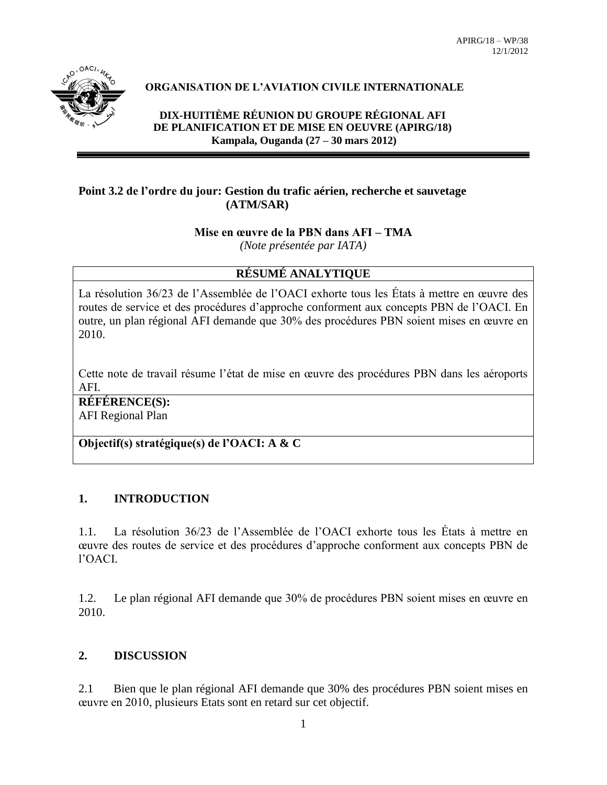

# **ORGANISATION DE L'AVIATION CIVILE INTERNATIONALE**

**DIX-HUITIÈME RÉUNION DU GROUPE RÉGIONAL AFI DE PLANIFICATION ET DE MISE EN OEUVRE (APIRG/18) Kampala, Ouganda (27 – 30 mars 2012)**

#### **Point 3.2 de l'ordre du jour: Gestion du trafic aérien, recherche et sauvetage (ATM/SAR)**

# **Mise en œuvre de la PBN dans AFI – TMA**

*(Note présentée par IATA)*

# **RÉSUMÉ ANALYTIQUE**

La résolution 36/23 de l'Assemblée de l'OACI exhorte tous les États à mettre en œuvre des routes de service et des procédures d'approche conforment aux concepts PBN de l'OACI. En outre, un plan régional AFI demande que 30% des procédures PBN soient mises en œuvre en 2010.

Cette note de travail résume l'état de mise en œuvre des procédures PBN dans les aéroports AFI.

**RÉFÉRENCE(S):** AFI Regional Plan

**Objectif(s) stratégique(s) de l'OACI: A & C**

# **1. INTRODUCTION**

1.1. La résolution 36/23 de l'Assemblée de l'OACI exhorte tous les États à mettre en œuvre des routes de service et des procédures d'approche conforment aux concepts PBN de l'OACI.

1.2. Le plan régional AFI demande que 30% de procédures PBN soient mises en œuvre en 2010.

# **2. DISCUSSION**

2.1 Bien que le plan régional AFI demande que 30% des procédures PBN soient mises en œuvre en 2010, plusieurs Etats sont en retard sur cet objectif.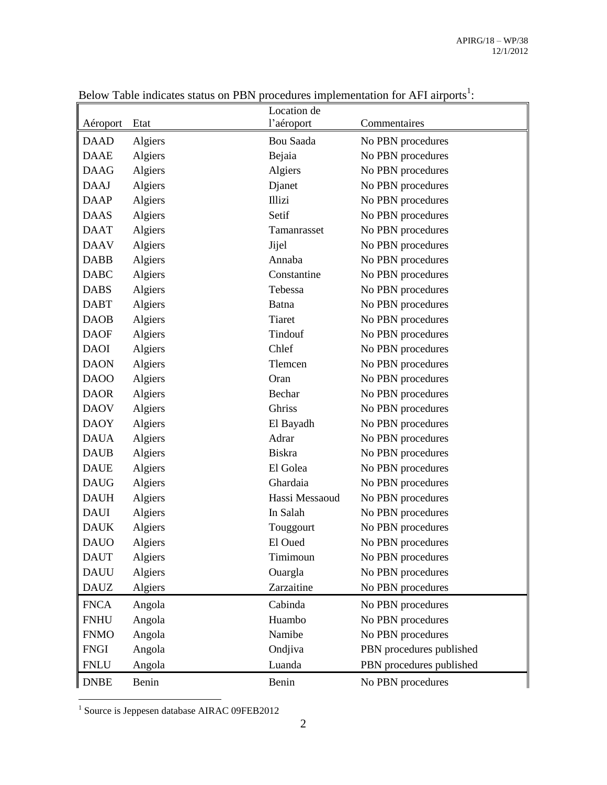|             |         | Location de    |                          |
|-------------|---------|----------------|--------------------------|
| Aéroport    | Etat    | l'aéroport     | Commentaires             |
| <b>DAAD</b> | Algiers | Bou Saada      | No PBN procedures        |
| <b>DAAE</b> | Algiers | Bejaia         | No PBN procedures        |
| <b>DAAG</b> | Algiers | Algiers        | No PBN procedures        |
| <b>DAAJ</b> | Algiers | Djanet         | No PBN procedures        |
| <b>DAAP</b> | Algiers | <b>Illizi</b>  | No PBN procedures        |
| <b>DAAS</b> | Algiers | Setif          | No PBN procedures        |
| <b>DAAT</b> | Algiers | Tamanrasset    | No PBN procedures        |
| <b>DAAV</b> | Algiers | Jijel          | No PBN procedures        |
| <b>DABB</b> | Algiers | Annaba         | No PBN procedures        |
| <b>DABC</b> | Algiers | Constantine    | No PBN procedures        |
| <b>DABS</b> | Algiers | Tebessa        | No PBN procedures        |
| <b>DABT</b> | Algiers | Batna          | No PBN procedures        |
| <b>DAOB</b> | Algiers | <b>Tiaret</b>  | No PBN procedures        |
| <b>DAOF</b> | Algiers | Tindouf        | No PBN procedures        |
| <b>DAOI</b> | Algiers | Chlef          | No PBN procedures        |
| <b>DAON</b> | Algiers | Tlemcen        | No PBN procedures        |
| DAOO        | Algiers | Oran           | No PBN procedures        |
| <b>DAOR</b> | Algiers | Bechar         | No PBN procedures        |
| <b>DAOV</b> | Algiers | Ghriss         | No PBN procedures        |
| <b>DAOY</b> | Algiers | El Bayadh      | No PBN procedures        |
| <b>DAUA</b> | Algiers | Adrar          | No PBN procedures        |
| <b>DAUB</b> | Algiers | <b>Biskra</b>  | No PBN procedures        |
| <b>DAUE</b> | Algiers | El Golea       | No PBN procedures        |
| <b>DAUG</b> | Algiers | Ghardaia       | No PBN procedures        |
| <b>DAUH</b> | Algiers | Hassi Messaoud | No PBN procedures        |
| <b>DAUI</b> | Algiers | In Salah       | No PBN procedures        |
| <b>DAUK</b> | Algiers | Touggourt      | No PBN procedures        |
| <b>DAUO</b> | Algiers | El Oued        | No PBN procedures        |
| <b>DAUT</b> | Algiers | Timimoun       | No PBN procedures        |
| <b>DAUU</b> | Algiers | Ouargla        | No PBN procedures        |
| <b>DAUZ</b> | Algiers | Zarzaitine     | No PBN procedures        |
| <b>FNCA</b> | Angola  | Cabinda        | No PBN procedures        |
| <b>FNHU</b> | Angola  | Huambo         | No PBN procedures        |
| <b>FNMO</b> | Angola  | Namibe         | No PBN procedures        |
| <b>FNGI</b> | Angola  | Ondjiva        | PBN procedures published |
| <b>FNLU</b> | Angola  | Luanda         | PBN procedures published |
| <b>DNBE</b> | Benin   | Benin          | No PBN procedures        |

Below Table indicates status on PBN procedures implementation for AFI airports<sup>1</sup>:

1 Source is Jeppesen database AIRAC 09FEB2012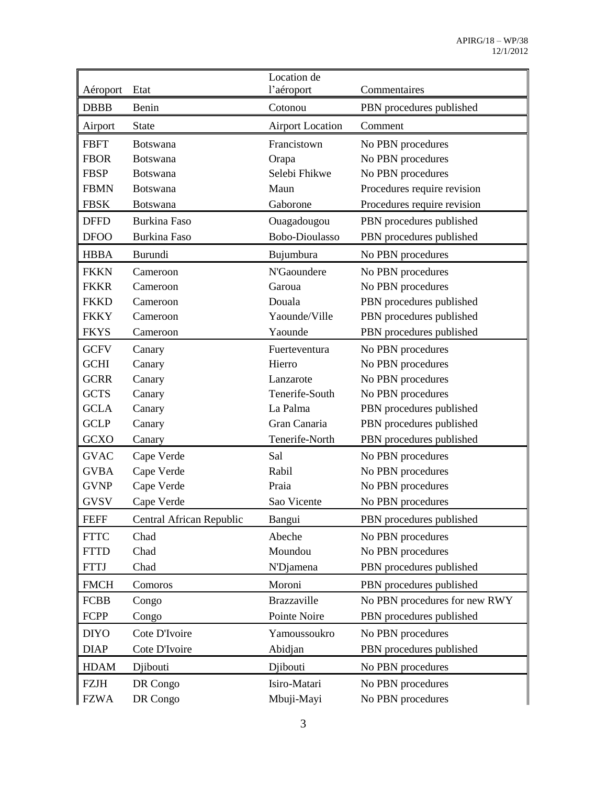| Aéroport    | Etat                     | Location de<br>l'aéroport | Commentaires                  |
|-------------|--------------------------|---------------------------|-------------------------------|
| <b>DBBB</b> | Benin                    | Cotonou                   | PBN procedures published      |
| Airport     | <b>State</b>             | <b>Airport Location</b>   | Comment                       |
| <b>FBFT</b> | <b>Botswana</b>          | Francistown               | No PBN procedures             |
| <b>FBOR</b> | <b>Botswana</b>          | Orapa                     | No PBN procedures             |
| <b>FBSP</b> | <b>Botswana</b>          | Selebi Fhikwe             | No PBN procedures             |
| <b>FBMN</b> | <b>Botswana</b>          | Maun                      | Procedures require revision   |
| <b>FBSK</b> | <b>Botswana</b>          | Gaborone                  | Procedures require revision   |
| <b>DFFD</b> | <b>Burkina Faso</b>      | Ouagadougou               | PBN procedures published      |
| <b>DFOO</b> | <b>Burkina Faso</b>      | Bobo-Dioulasso            | PBN procedures published      |
| <b>HBBA</b> | Burundi                  | Bujumbura                 | No PBN procedures             |
| <b>FKKN</b> | Cameroon                 | N'Gaoundere               | No PBN procedures             |
| <b>FKKR</b> | Cameroon                 | Garoua                    | No PBN procedures             |
| <b>FKKD</b> | Cameroon                 | Douala                    | PBN procedures published      |
| <b>FKKY</b> | Cameroon                 | Yaounde/Ville             | PBN procedures published      |
| <b>FKYS</b> | Cameroon                 | Yaounde                   | PBN procedures published      |
| <b>GCFV</b> | Canary                   | Fuerteventura             | No PBN procedures             |
| <b>GCHI</b> | Canary                   | Hierro                    | No PBN procedures             |
| <b>GCRR</b> | Canary                   | Lanzarote                 | No PBN procedures             |
| <b>GCTS</b> | Canary                   | Tenerife-South            | No PBN procedures             |
| <b>GCLA</b> | Canary                   | La Palma                  | PBN procedures published      |
| <b>GCLP</b> | Canary                   | Gran Canaria              | PBN procedures published      |
| <b>GCXO</b> | Canary                   | Tenerife-North            | PBN procedures published      |
| <b>GVAC</b> | Cape Verde               | Sal                       | No PBN procedures             |
| <b>GVBA</b> | Cape Verde               | Rabil                     | No PBN procedures             |
| <b>GVNP</b> | Cape Verde               | Praia                     | No PBN procedures             |
| <b>GVSV</b> | Cape Verde               | Sao Vicente               | No PBN procedures             |
| <b>FEFF</b> | Central African Republic | Bangui                    | PBN procedures published      |
| <b>FTTC</b> | Chad                     | Abeche                    | No PBN procedures             |
| <b>FTTD</b> | Chad                     | Moundou                   | No PBN procedures             |
| <b>FTTJ</b> | Chad                     | N'Djamena                 | PBN procedures published      |
| <b>FMCH</b> | Comoros                  | Moroni                    | PBN procedures published      |
| <b>FCBB</b> | Congo                    | Brazzaville               | No PBN procedures for new RWY |
| <b>FCPP</b> | Congo                    | Pointe Noire              | PBN procedures published      |
| <b>DIYO</b> | Cote D'Ivoire            | Yamoussoukro              | No PBN procedures             |
| <b>DIAP</b> | Cote D'Ivoire            | Abidjan                   | PBN procedures published      |
| <b>HDAM</b> | Djibouti                 | Djibouti                  | No PBN procedures             |
| <b>FZJH</b> | DR Congo                 | Isiro-Matari              | No PBN procedures             |
| <b>FZWA</b> | DR Congo                 | Mbuji-Mayi                | No PBN procedures             |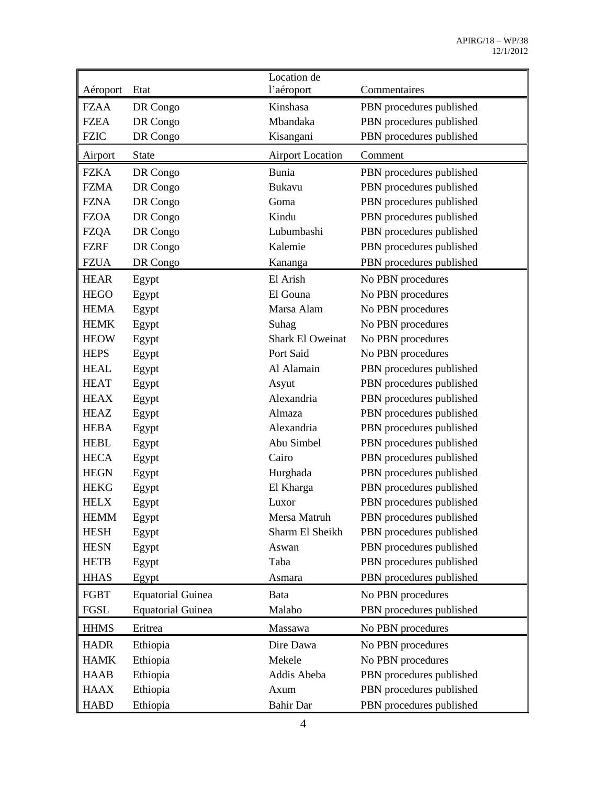|             |                          | Location de             |                          |
|-------------|--------------------------|-------------------------|--------------------------|
| Aéroport    | Etat                     | l'aéroport              | Commentaires             |
| FZAA        | DR Congo                 | Kinshasa                | PBN procedures published |
| <b>FZEA</b> | DR Congo                 | Mbandaka                | PBN procedures published |
| <b>FZIC</b> | DR Congo                 | Kisangani               | PBN procedures published |
| Airport     | <b>State</b>             | <b>Airport Location</b> | Comment                  |
| <b>FZKA</b> | DR Congo                 | Bunia                   | PBN procedures published |
| <b>FZMA</b> | DR Congo                 | <b>Bukavu</b>           | PBN procedures published |
| <b>FZNA</b> | DR Congo                 | Goma                    | PBN procedures published |
| <b>FZOA</b> | DR Congo                 | Kindu                   | PBN procedures published |
| <b>FZQA</b> | DR Congo                 | Lubumbashi              | PBN procedures published |
| <b>FZRF</b> | DR Congo                 | Kalemie                 | PBN procedures published |
| <b>FZUA</b> | DR Congo                 | Kananga                 | PBN procedures published |
| <b>HEAR</b> | Egypt                    | El Arish                | No PBN procedures        |
| <b>HEGO</b> | Egypt                    | El Gouna                | No PBN procedures        |
| <b>HEMA</b> | Egypt                    | Marsa Alam              | No PBN procedures        |
| <b>HEMK</b> | Egypt                    | Suhag                   | No PBN procedures        |
| <b>HEOW</b> | Egypt                    | <b>Shark El Oweinat</b> | No PBN procedures        |
| <b>HEPS</b> | Egypt                    | Port Said               | No PBN procedures        |
| <b>HEAL</b> | Egypt                    | Al Alamain              | PBN procedures published |
| <b>HEAT</b> | Egypt                    | Asyut                   | PBN procedures published |
| <b>HEAX</b> | Egypt                    | Alexandria              | PBN procedures published |
| <b>HEAZ</b> | Egypt                    | Almaza                  | PBN procedures published |
| <b>HEBA</b> | Egypt                    | Alexandria              | PBN procedures published |
| <b>HEBL</b> | Egypt                    | Abu Simbel              | PBN procedures published |
| <b>HECA</b> | Egypt                    | Cairo                   | PBN procedures published |
| <b>HEGN</b> | Egypt                    | Hurghada                | PBN procedures published |
| <b>HEKG</b> | Egypt                    | El Kharga               | PBN procedures published |
| <b>HELX</b> | Egypt                    | Luxor                   | PBN procedures published |
| HEMM        | Egypt                    | Mersa Matruh            | PBN procedures published |
| <b>HESH</b> | Egypt                    | Sharm El Sheikh         | PBN procedures published |
| <b>HESN</b> | Egypt                    | Aswan                   | PBN procedures published |
| <b>HETB</b> | Egypt                    | Taba                    | PBN procedures published |
| <b>HHAS</b> | Egypt                    | Asmara                  | PBN procedures published |
| FGBT        | <b>Equatorial Guinea</b> | Bata                    | No PBN procedures        |
| FGSL        | <b>Equatorial Guinea</b> | Malabo                  | PBN procedures published |
| <b>HHMS</b> | Eritrea                  | Massawa                 | No PBN procedures        |
| <b>HADR</b> | Ethiopia                 | Dire Dawa               | No PBN procedures        |
| <b>HAMK</b> | Ethiopia                 | Mekele                  | No PBN procedures        |
| <b>HAAB</b> | Ethiopia                 | Addis Abeba             | PBN procedures published |
| <b>HAAX</b> | Ethiopia                 | Axum                    | PBN procedures published |
| <b>HABD</b> | Ethiopia                 | <b>Bahir Dar</b>        | PBN procedures published |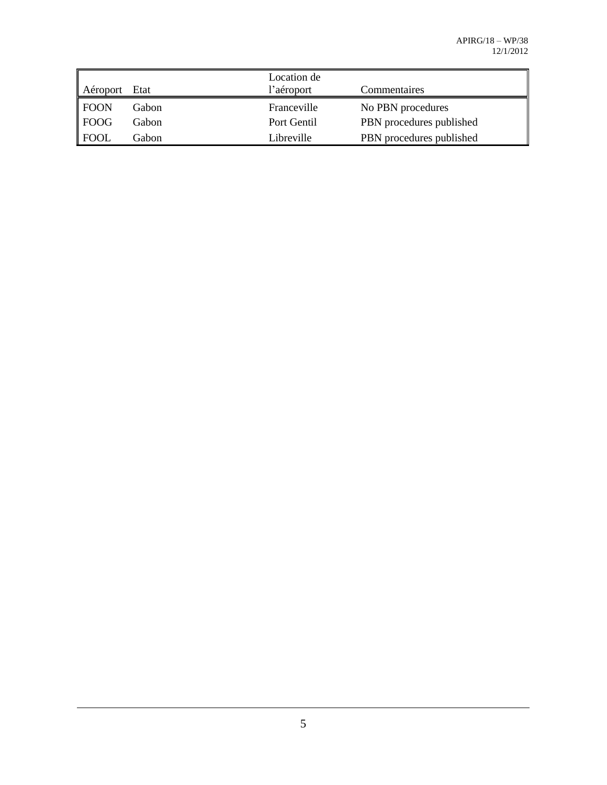| Aéroport         | Etat  | Location de<br>l'aéroport | Commentaires             |
|------------------|-------|---------------------------|--------------------------|
| $\parallel$ FOON | Gabon | Franceville               | No PBN procedures        |
| FOOG             | Gabon | Port Gentil               | PBN procedures published |
| $\parallel$ FOOL | Gabon | Libreville                | PBN procedures published |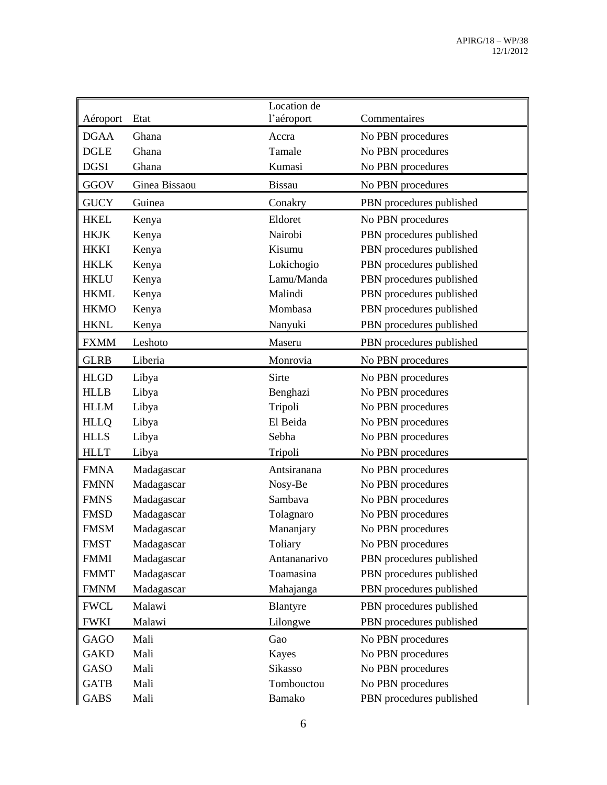| Aéroport    | Etat          | Location de<br>l'aéroport | Commentaires             |
|-------------|---------------|---------------------------|--------------------------|
| <b>DGAA</b> | Ghana         | Accra                     | No PBN procedures        |
| <b>DGLE</b> | Ghana         | Tamale                    | No PBN procedures        |
| <b>DGSI</b> | Ghana         | Kumasi                    | No PBN procedures        |
| <b>GGOV</b> | Ginea Bissaou | <b>Bissau</b>             | No PBN procedures        |
| <b>GUCY</b> | Guinea        | Conakry                   | PBN procedures published |
| <b>HKEL</b> | Kenya         | Eldoret                   | No PBN procedures        |
| <b>HKJK</b> | Kenya         | Nairobi                   | PBN procedures published |
| <b>HKKI</b> | Kenya         | Kisumu                    | PBN procedures published |
| <b>HKLK</b> | Kenya         | Lokichogio                | PBN procedures published |
| <b>HKLU</b> | Kenya         | Lamu/Manda                | PBN procedures published |
| <b>HKML</b> | Kenya         | Malindi                   | PBN procedures published |
| <b>HKMO</b> | Kenya         | Mombasa                   | PBN procedures published |
| <b>HKNL</b> | Kenya         | Nanyuki                   | PBN procedures published |
| <b>FXMM</b> | Leshoto       | Maseru                    | PBN procedures published |
| <b>GLRB</b> | Liberia       | Monrovia                  | No PBN procedures        |
| <b>HLGD</b> | Libya         | Sirte                     | No PBN procedures        |
| <b>HLLB</b> | Libya         | Benghazi                  | No PBN procedures        |
| <b>HLLM</b> | Libya         | Tripoli                   | No PBN procedures        |
| <b>HLLQ</b> | Libya         | El Beida                  | No PBN procedures        |
| <b>HLLS</b> | Libya         | Sebha                     | No PBN procedures        |
| <b>HLLT</b> | Libya         | Tripoli                   | No PBN procedures        |
| <b>FMNA</b> | Madagascar    | Antsiranana               | No PBN procedures        |
| <b>FMNN</b> | Madagascar    | Nosy-Be                   | No PBN procedures        |
| <b>FMNS</b> | Madagascar    | Sambava                   | No PBN procedures        |
| <b>FMSD</b> | Madagascar    | Tolagnaro                 | No PBN procedures        |
| <b>FMSM</b> | Madagascar    | Mananjary                 | No PBN procedures        |
| <b>FMST</b> | Madagascar    | Toliary                   | No PBN procedures        |
| <b>FMMI</b> | Madagascar    | Antananarivo              | PBN procedures published |
| <b>FMMT</b> | Madagascar    | Toamasina                 | PBN procedures published |
| <b>FMNM</b> | Madagascar    | Mahajanga                 | PBN procedures published |
| <b>FWCL</b> | Malawi        | Blantyre                  | PBN procedures published |
| <b>FWKI</b> | Malawi        | Lilongwe                  | PBN procedures published |
| <b>GAGO</b> | Mali          | Gao                       | No PBN procedures        |
| <b>GAKD</b> | Mali          | Kayes                     | No PBN procedures        |
| GASO        | Mali          | Sikasso                   | No PBN procedures        |
| <b>GATB</b> | Mali          | Tombouctou                | No PBN procedures        |
| <b>GABS</b> | Mali          | Bamako                    | PBN procedures published |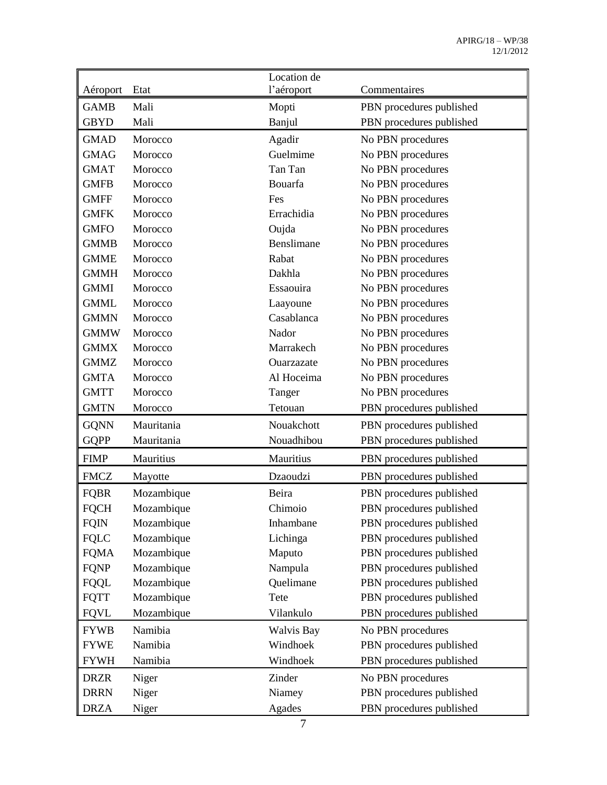|             |            | Location de       |                          |
|-------------|------------|-------------------|--------------------------|
| Aéroport    | Etat       | l'aéroport        | Commentaires             |
| <b>GAMB</b> | Mali       | Mopti             | PBN procedures published |
| <b>GBYD</b> | Mali       | Banjul            | PBN procedures published |
| <b>GMAD</b> | Morocco    | Agadir            | No PBN procedures        |
| <b>GMAG</b> | Morocco    | Guelmime          | No PBN procedures        |
| <b>GMAT</b> | Morocco    | Tan Tan           | No PBN procedures        |
| <b>GMFB</b> | Morocco    | Bouarfa           | No PBN procedures        |
| <b>GMFF</b> | Morocco    | Fes               | No PBN procedures        |
| <b>GMFK</b> | Morocco    | Errachidia        | No PBN procedures        |
| <b>GMFO</b> | Morocco    | Oujda             | No PBN procedures        |
| <b>GMMB</b> | Morocco    | Benslimane        | No PBN procedures        |
| <b>GMME</b> | Morocco    | Rabat             | No PBN procedures        |
| <b>GMMH</b> | Morocco    | Dakhla            | No PBN procedures        |
| <b>GMMI</b> | Morocco    | Essaouira         | No PBN procedures        |
| <b>GMML</b> | Morocco    | Laayoune          | No PBN procedures        |
| <b>GMMN</b> | Morocco    | Casablanca        | No PBN procedures        |
| <b>GMMW</b> | Morocco    | Nador             | No PBN procedures        |
| <b>GMMX</b> | Morocco    | Marrakech         | No PBN procedures        |
| <b>GMMZ</b> | Morocco    | Ouarzazate        | No PBN procedures        |
| <b>GMTA</b> | Morocco    | Al Hoceima        | No PBN procedures        |
| <b>GMTT</b> | Morocco    | Tanger            | No PBN procedures        |
| <b>GMTN</b> | Morocco    | Tetouan           | PBN procedures published |
| <b>GQNN</b> | Mauritania | Nouakchott        | PBN procedures published |
| <b>GQPP</b> | Mauritania | Nouadhibou        | PBN procedures published |
| <b>FIMP</b> | Mauritius  | Mauritius         | PBN procedures published |
| <b>FMCZ</b> | Mayotte    | Dzaoudzi          | PBN procedures published |
| <b>FQBR</b> | Mozambique | Beira             | PBN procedures published |
| <b>FQCH</b> | Mozambique | Chimoio           | PBN procedures published |
| <b>FQIN</b> | Mozambique | Inhambane         | PBN procedures published |
| <b>FQLC</b> | Mozambique | Lichinga          | PBN procedures published |
| <b>FQMA</b> | Mozambique | Maputo            | PBN procedures published |
| <b>FQNP</b> | Mozambique | Nampula           | PBN procedures published |
| <b>FQQL</b> | Mozambique | Quelimane         | PBN procedures published |
| <b>FQTT</b> | Mozambique | Tete              | PBN procedures published |
| <b>FQVL</b> | Mozambique | Vilankulo         | PBN procedures published |
| <b>FYWB</b> | Namibia    | <b>Walvis Bay</b> | No PBN procedures        |
| <b>FYWE</b> | Namibia    | Windhoek          | PBN procedures published |
| <b>FYWH</b> | Namibia    | Windhoek          | PBN procedures published |
| <b>DRZR</b> | Niger      | Zinder            | No PBN procedures        |
| <b>DRRN</b> | Niger      | Niamey            | PBN procedures published |
| <b>DRZA</b> | Niger      | Agades            | PBN procedures published |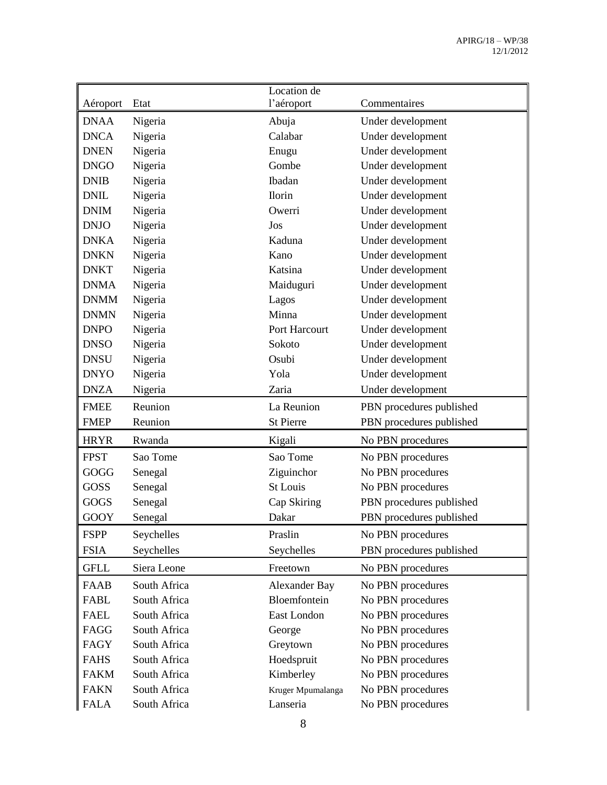| Aéroport    | Etat         | Location de<br>l'aéroport | Commentaires             |
|-------------|--------------|---------------------------|--------------------------|
|             |              |                           |                          |
| <b>DNAA</b> | Nigeria      | Abuja                     | Under development        |
| <b>DNCA</b> | Nigeria      | Calabar                   | Under development        |
| <b>DNEN</b> | Nigeria      | Enugu                     | Under development        |
| <b>DNGO</b> | Nigeria      | Gombe                     | Under development        |
| <b>DNIB</b> | Nigeria      | Ibadan                    | Under development        |
| <b>DNIL</b> | Nigeria      | Ilorin                    | Under development        |
| <b>DNIM</b> | Nigeria      | Owerri                    | Under development        |
| <b>DNJO</b> | Nigeria      | Jos                       | Under development        |
| <b>DNKA</b> | Nigeria      | Kaduna                    | Under development        |
| <b>DNKN</b> | Nigeria      | Kano                      | Under development        |
| <b>DNKT</b> | Nigeria      | Katsina                   | Under development        |
| <b>DNMA</b> | Nigeria      | Maiduguri                 | Under development        |
| <b>DNMM</b> | Nigeria      | Lagos                     | Under development        |
| <b>DNMN</b> | Nigeria      | Minna                     | Under development        |
| <b>DNPO</b> | Nigeria      | Port Harcourt             | Under development        |
| <b>DNSO</b> | Nigeria      | Sokoto                    | Under development        |
| <b>DNSU</b> | Nigeria      | Osubi                     | Under development        |
| <b>DNYO</b> | Nigeria      | Yola                      | Under development        |
| <b>DNZA</b> | Nigeria      | Zaria                     | Under development        |
| <b>FMEE</b> | Reunion      | La Reunion                | PBN procedures published |
| <b>FMEP</b> | Reunion      | <b>St Pierre</b>          | PBN procedures published |
| <b>HRYR</b> | Rwanda       | Kigali                    | No PBN procedures        |
| <b>FPST</b> | Sao Tome     | Sao Tome                  | No PBN procedures        |
| <b>GOGG</b> | Senegal      | Ziguinchor                | No PBN procedures        |
| <b>GOSS</b> | Senegal      | St Louis                  | No PBN procedures        |
| <b>GOGS</b> | Senegal      | Cap Skiring               | PBN procedures published |
| GOOY        | Senegal      | Dakar                     | PBN procedures published |
| <b>FSPP</b> | Seychelles   | Praslin                   | No PBN procedures        |
| <b>FSIA</b> | Seychelles   | Seychelles                | PBN procedures published |
| <b>GFLL</b> | Siera Leone  | Freetown                  | No PBN procedures        |
| <b>FAAB</b> | South Africa | Alexander Bay             | No PBN procedures        |
| FABL        | South Africa | Bloemfontein              | No PBN procedures        |
| <b>FAEL</b> | South Africa | East London               | No PBN procedures        |
| FAGG        | South Africa | George                    | No PBN procedures        |
| FAGY        | South Africa | Greytown                  | No PBN procedures        |
| <b>FAHS</b> | South Africa | Hoedspruit                | No PBN procedures        |
| <b>FAKM</b> | South Africa | Kimberley                 | No PBN procedures        |
| <b>FAKN</b> | South Africa | Kruger Mpumalanga         | No PBN procedures        |
| <b>FALA</b> | South Africa | Lanseria                  | No PBN procedures        |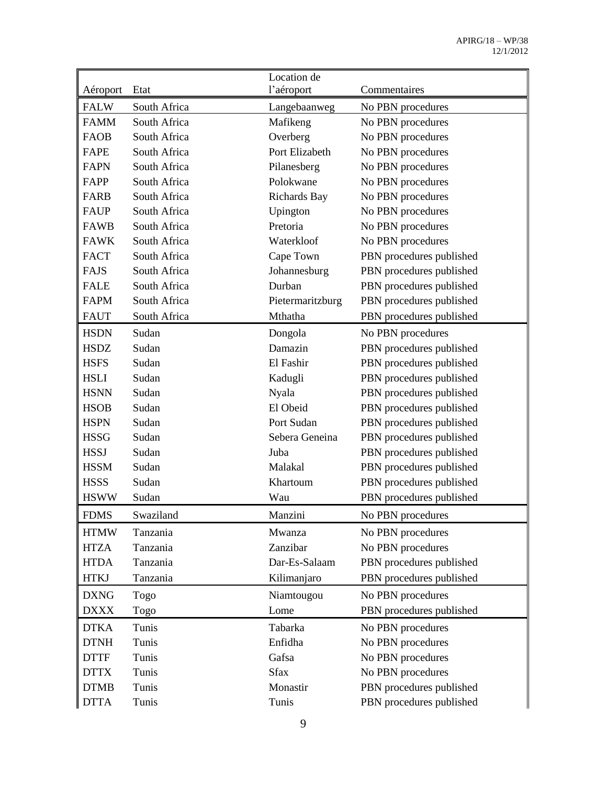|             |              | Location de         |                          |
|-------------|--------------|---------------------|--------------------------|
| Aéroport    | Etat         | l'aéroport          | Commentaires             |
| <b>FALW</b> | South Africa | Langebaanweg        | No PBN procedures        |
| <b>FAMM</b> | South Africa | Mafikeng            | No PBN procedures        |
| <b>FAOB</b> | South Africa | Overberg            | No PBN procedures        |
| <b>FAPE</b> | South Africa | Port Elizabeth      | No PBN procedures        |
| <b>FAPN</b> | South Africa | Pilanesberg         | No PBN procedures        |
| FAPP        | South Africa | Polokwane           | No PBN procedures        |
| <b>FARB</b> | South Africa | <b>Richards Bay</b> | No PBN procedures        |
| <b>FAUP</b> | South Africa | Upington            | No PBN procedures        |
| <b>FAWB</b> | South Africa | Pretoria            | No PBN procedures        |
| <b>FAWK</b> | South Africa | Waterkloof          | No PBN procedures        |
| <b>FACT</b> | South Africa | Cape Town           | PBN procedures published |
| <b>FAJS</b> | South Africa | Johannesburg        | PBN procedures published |
| <b>FALE</b> | South Africa | Durban              | PBN procedures published |
| <b>FAPM</b> | South Africa | Pietermaritzburg    | PBN procedures published |
| <b>FAUT</b> | South Africa | Mthatha             | PBN procedures published |
| <b>HSDN</b> | Sudan        | Dongola             | No PBN procedures        |
| <b>HSDZ</b> | Sudan        | Damazin             | PBN procedures published |
| <b>HSFS</b> | Sudan        | El Fashir           | PBN procedures published |
| <b>HSLI</b> | Sudan        | Kadugli             | PBN procedures published |
| <b>HSNN</b> | Sudan        | <b>Nyala</b>        | PBN procedures published |
| <b>HSOB</b> | Sudan        | El Obeid            | PBN procedures published |
| <b>HSPN</b> | Sudan        | Port Sudan          | PBN procedures published |
| <b>HSSG</b> | Sudan        | Sebera Geneina      | PBN procedures published |
| <b>HSSJ</b> | Sudan        | Juba                | PBN procedures published |
| <b>HSSM</b> | Sudan        | Malakal             | PBN procedures published |
| <b>HSSS</b> | Sudan        | Khartoum            | PBN procedures published |
| <b>HSWW</b> | Sudan        | Wau                 | PBN procedures published |
| <b>FDMS</b> | Swaziland    | Manzini             | No PBN procedures        |
| <b>HTMW</b> | Tanzania     | Mwanza              | No PBN procedures        |
| <b>HTZA</b> | Tanzania     | Zanzibar            | No PBN procedures        |
| <b>HTDA</b> | Tanzania     | Dar-Es-Salaam       | PBN procedures published |
| <b>HTKJ</b> | Tanzania     | Kilimanjaro         | PBN procedures published |
| <b>DXNG</b> | Togo         | Niamtougou          | No PBN procedures        |
| <b>DXXX</b> | Togo         | Lome                | PBN procedures published |
| <b>DTKA</b> | Tunis        | Tabarka             | No PBN procedures        |
| <b>DTNH</b> | Tunis        | Enfidha             | No PBN procedures        |
| <b>DTTF</b> | Tunis        | Gafsa               | No PBN procedures        |
| <b>DTTX</b> | Tunis        | <b>Sfax</b>         | No PBN procedures        |
| <b>DTMB</b> | Tunis        | Monastir            | PBN procedures published |
| <b>DTTA</b> | Tunis        | Tunis               | PBN procedures published |